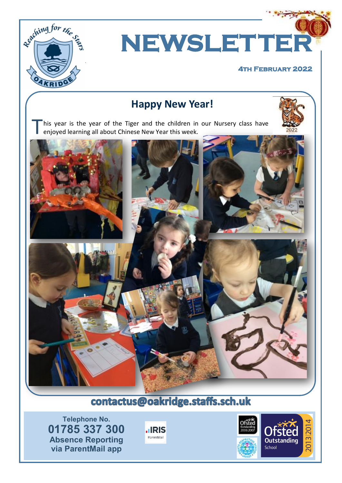

**NEWSLETTER** 

#### **4th February 2022**

# **Happy New Year!**

his year is the year of the Tiger and the children in our Nursery class have enjoyed learning all about Chinese New Year this week.



# contactus@oakridge.staffs.sch.uk

**Telephone No. 01785 337 300 Absence Reporting via ParentMail app**



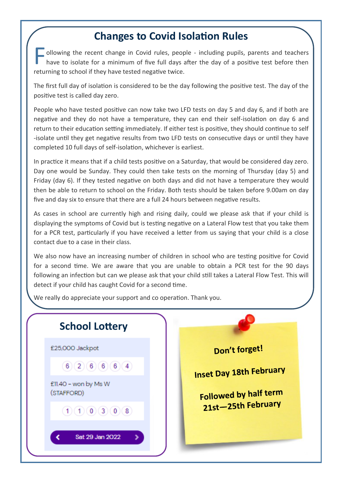### **Changes to Covid Isolation Rules**

F ollowing the recent change in Covid rules, people - including pupils, parents and teachers have to isolate for a minimum of five full days after the day of a positive test before then returning to school if they have tested negative twice.

The first full day of isolation is considered to be the day following the positive test. The day of the positive test is called day zero.

People who have tested positive can now take two LFD tests on day 5 and day 6, and if both are negative and they do not have a temperature, they can end their self-isolation on day 6 and return to their education setting immediately. If either test is positive, they should continue to self -isolate until they get negative results from two LFD tests on consecutive days or until they have completed 10 full days of self-isolation, whichever is earliest.

In practice it means that if a child tests positive on a Saturday, that would be considered day zero. Day one would be Sunday. They could then take tests on the morning of Thursday (day 5) and Friday (day 6). If they tested negative on both days and did not have a temperature they would then be able to return to school on the Friday. Both tests should be taken before 9.00am on day five and day six to ensure that there are a full 24 hours between negative results.

As cases in school are currently high and rising daily, could we please ask that if your child is displaying the symptoms of Covid but is testing negative on a Lateral Flow test that you take them for a PCR test, particularly if you have received a letter from us saying that your child is a close contact due to a case in their class.

We also now have an increasing number of children in school who are testing positive for Covid for a second time. We are aware that you are unable to obtain a PCR test for the 90 days following an infection but can we please ask that your child still takes a Lateral Flow Test. This will detect if your child has caught Covid for a second time.

We really do appreciate your support and co operation. Thank you.

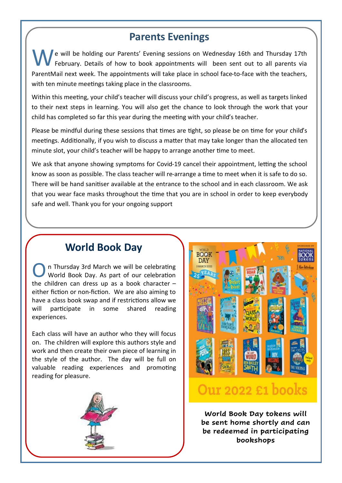### **Parents Evenings**

e will be holding our Parents' Evening sessions on Wednesday 16th and Thursday 17th February. Details of how to book appointments will been sent out to all parents via ParentMail next week. The appointments will take place in school face-to-face with the teachers, with ten minute meetings taking place in the classrooms.

Within this meeting, your child's teacher will discuss your child's progress, as well as targets linked to their next steps in learning. You will also get the chance to look through the work that your child has completed so far this year during the meeting with your child's teacher.

Please be mindful during these sessions that times are tight, so please be on time for your child's meetings. Additionally, if you wish to discuss a matter that may take longer than the allocated ten minute slot, your child's teacher will be happy to arrange another time to meet.

We ask that anyone showing symptoms for Covid-19 cancel their appointment, letting the school know as soon as possible. The class teacher will re-arrange a time to meet when it is safe to do so. There will be hand sanitiser available at the entrance to the school and in each classroom. We ask that you wear face masks throughout the time that you are in school in order to keep everybody safe and well. Thank you for your ongoing support

### **World Book Day**

O n Thursday 3rd March we will be celebrating World Book Day. As part of our celebration the children can dress up as a book character  $$ either fiction or non-fiction. We are also aiming to have a class book swap and if restrictions allow we will participate in some shared reading experiences.

Each class will have an author who they will focus on. The children will explore this authors style and work and then create their own piece of learning in the style of the author. The day will be full on valuable reading experiences and promoting reading for pleasure.





# Our 2022 £1 books

**World Book Day tokens will be sent home shortly and can be redeemed in participating bookshops**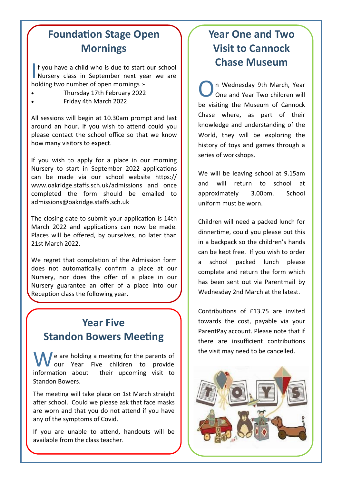# **Foundation Stage Open Mornings**

If you have a child who is due to start our school<br>Nursery class in September next year we are f you have a child who is due to start our school holding two number of open mornings :-

- Thursday 17th February 2022
- Friday 4th March 2022

All sessions will begin at 10.30am prompt and last around an hour. If you wish to attend could you please contact the school office so that we know how many visitors to expect.

If you wish to apply for a place in our morning Nursery to start in September 2022 applications can be made via our school website https:// www.oakridge.staffs.sch.uk/admissions and once completed the form should be emailed to admissions@oakridge.staffs.sch.uk

The closing date to submit your application is 14th March 2022 and applications can now be made. Places will be offered, by ourselves, no later than 21st March 2022.

We regret that completion of the Admission form does not automatically confirm a place at our Nursery, nor does the offer of a place in our Nursery guarantee an offer of a place into our Reception class the following year.

# **Year Five Standon Bowers Meeting**

We are holding a meeting for the parents of<br>information about their upcoming visit to our Year Five children to provide their upcoming visit to Standon Bowers.

The meeting will take place on 1st March straight after school. Could we please ask that face masks are worn and that you do not attend if you have any of the symptoms of Covid.

If you are unable to attend, handouts will be available from the class teacher.

# **Year One and Two Visit to Cannock Chase Museum**

O n Wednesday 9th March, Year One and Year Two children will be visiting the Museum of Cannock Chase where, as part of their knowledge and understanding of the World, they will be exploring the history of toys and games through a series of workshops.

We will be leaving school at 9.15am and will return to school at approximately 3.00pm. School uniform must be worn.

Children will need a packed lunch for dinnertime, could you please put this in a backpack so the children's hands can be kept free. If you wish to order a school packed lunch please complete and return the form which has been sent out via Parentmail by Wednesday 2nd March at the latest.

Contributions of £13.75 are invited towards the cost, payable via your ParentPay account. Please note that if there are insufficient contributions the visit may need to be cancelled.